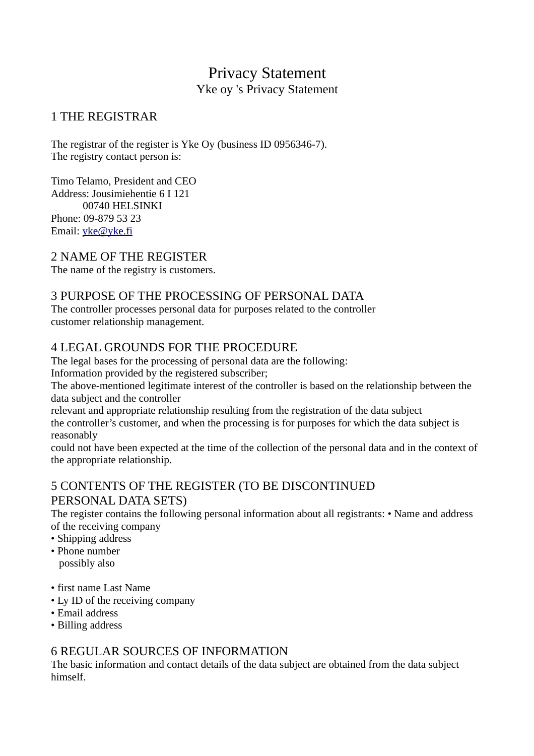# Privacy Statement Yke oy 's Privacy Statement

#### 1 THE REGISTRAR

The registrar of the register is Yke Oy (business ID 0956346-7). The registry contact person is:

Timo Telamo, President and CEO Address: Jousimiehentie 6 I 121 00740 HELSINKI Phone: 09-879 53 23 Email: [yke@yke.fi](mailto:yke@nic.fi)

#### 2 NAME OF THE REGISTER

The name of the registry is customers.

## 3 PURPOSE OF THE PROCESSING OF PERSONAL DATA

The controller processes personal data for purposes related to the controller customer relationship management.

## 4 LEGAL GROUNDS FOR THE PROCEDURE

The legal bases for the processing of personal data are the following: Information provided by the registered subscriber;

The above-mentioned legitimate interest of the controller is based on the relationship between the data subject and the controller

relevant and appropriate relationship resulting from the registration of the data subject the controller's customer, and when the processing is for purposes for which the data subject is reasonably

could not have been expected at the time of the collection of the personal data and in the context of the appropriate relationship.

#### 5 CONTENTS OF THE REGISTER (TO BE DISCONTINUED PERSONAL DATA SETS)

The register contains the following personal information about all registrants: • Name and address of the receiving company

- Shipping address
- Phone number possibly also
- first name Last Name
- Ly ID of the receiving company
- Email address
- Billing address

# 6 REGULAR SOURCES OF INFORMATION

The basic information and contact details of the data subject are obtained from the data subject himself.